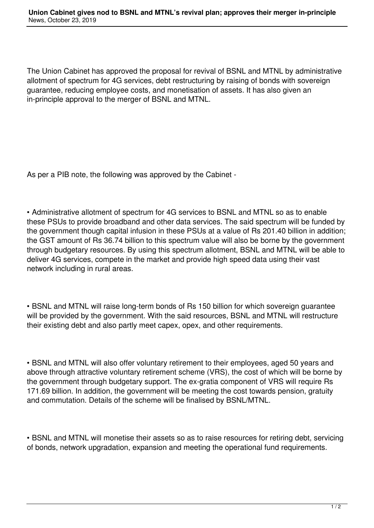The Union Cabinet has approved the proposal for revival of BSNL and MTNL by administrative allotment of spectrum for 4G services, debt restructuring by raising of bonds with sovereign guarantee, reducing employee costs, and monetisation of assets. It has also given an in-principle approval to the merger of BSNL and MTNL.

As per a PIB note, the following was approved by the Cabinet -

• Administrative allotment of spectrum for 4G services to BSNL and MTNL so as to enable these PSUs to provide broadband and other data services. The said spectrum will be funded by the government though capital infusion in these PSUs at a value of Rs 201.40 billion in addition; the GST amount of Rs 36.74 billion to this spectrum value will also be borne by the government through budgetary resources. By using this spectrum allotment, BSNL and MTNL will be able to deliver 4G services, compete in the market and provide high speed data using their vast network including in rural areas.

• BSNL and MTNL will raise long-term bonds of Rs 150 billion for which sovereign guarantee will be provided by the government. With the said resources, BSNL and MTNL will restructure their existing debt and also partly meet capex, opex, and other requirements.

• BSNL and MTNL will also offer voluntary retirement to their employees, aged 50 years and above through attractive voluntary retirement scheme (VRS), the cost of which will be borne by the government through budgetary support. The ex-gratia component of VRS will require Rs 171.69 billion. In addition, the government will be meeting the cost towards pension, gratuity and commutation. Details of the scheme will be finalised by BSNL/MTNL.

• BSNL and MTNL will monetise their assets so as to raise resources for retiring debt, servicing of bonds, network upgradation, expansion and meeting the operational fund requirements.